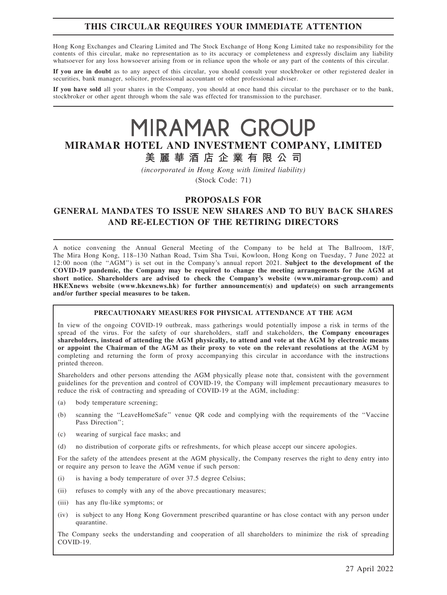# THIS CIRCULAR REQUIRES YOUR IMMEDIATE ATTENTION

Hong Kong Exchanges and Clearing Limited and The Stock Exchange of Hong Kong Limited take no responsibility for the contents of this circular, make no representation as to its accuracy or completeness and expressly disclaim any liability whatsoever for any loss howsoever arising from or in reliance upon the whole or any part of the contents of this circular.

If you are in doubt as to any aspect of this circular, you should consult your stockbroker or other registered dealer in securities, bank manager, solicitor, professional accountant or other professional adviser.

If you have sold all your shares in the Company, you should at once hand this circular to the purchaser or to the bank, stockbroker or other agent through whom the sale was effected for transmission to the purchaser.

# MIRAMAR GROUP MIRAMAR HOTEL AND INVESTMENT COMPANY, LIMITED 美 麗 華 酒 店 企 業 有 限 公 司

(incorporated in Hong Kong with limited liability)

(Stock Code: 71)

# PROPOSALS FOR

GENERAL MANDATES TO ISSUE NEW SHARES AND TO BUY BACK SHARES AND RE-ELECTION OF THE RETIRING DIRECTORS

A notice convening the Annual General Meeting of the Company to be held at The Ballroom, 18/F, The Mira Hong Kong, 118–130 Nathan Road, Tsim Sha Tsui, Kowloon, Hong Kong on Tuesday, 7 June 2022 at 12:00 noon (the "AGM") is set out in the Company's annual report 2021. Subject to the development of the COVID-19 pandemic, the Company may be required to change the meeting arrangements for the AGM at short notice. Shareholders are advised to check the Company's website (www.miramar-group.com) and HKEXnews website (www.hkexnews.hk) for further announcement(s) and update(s) on such arrangements and/or further special measures to be taken.

#### PRECAUTIONARY MEASURES FOR PHYSICAL ATTENDANCE AT THE AGM

In view of the ongoing COVID-19 outbreak, mass gatherings would potentially impose a risk in terms of the spread of the virus. For the safety of our shareholders, staff and stakeholders, the Company encourages shareholders, instead of attending the AGM physically, to attend and vote at the AGM by electronic means or appoint the Chairman of the AGM as their proxy to vote on the relevant resolutions at the AGM by completing and returning the form of proxy accompanying this circular in accordance with the instructions printed thereon.

Shareholders and other persons attending the AGM physically please note that, consistent with the government guidelines for the prevention and control of COVID-19, the Company will implement precautionary measures to reduce the risk of contracting and spreading of COVID-19 at the AGM, including:

- (a) body temperature screening;
- (b) scanning the ''LeaveHomeSafe'' venue QR code and complying with the requirements of the ''Vaccine Pass Direction'';
- (c) wearing of surgical face masks; and
- (d) no distribution of corporate gifts or refreshments, for which please accept our sincere apologies.

For the safety of the attendees present at the AGM physically, the Company reserves the right to deny entry into or require any person to leave the AGM venue if such person:

- (i) is having a body temperature of over 37.5 degree Celsius;
- (ii) refuses to comply with any of the above precautionary measures;
- (iii) has any flu-like symptoms; or
- (iv) is subject to any Hong Kong Government prescribed quarantine or has close contact with any person under quarantine.

The Company seeks the understanding and cooperation of all shareholders to minimize the risk of spreading COVID-19.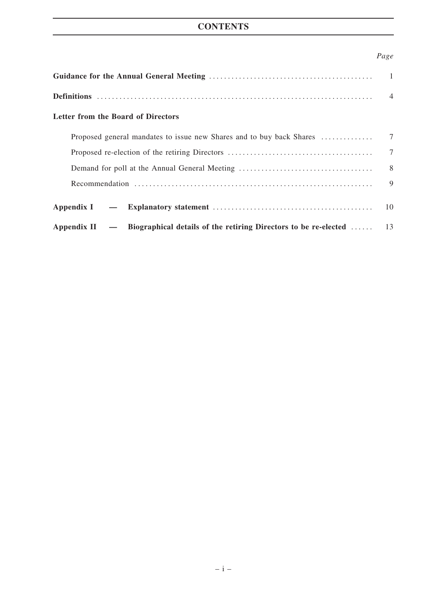# **CONTENTS**

# Page

| Letter from the Board of Directors                                                  |                |
|-------------------------------------------------------------------------------------|----------------|
|                                                                                     |                |
|                                                                                     | $\overline{7}$ |
|                                                                                     |                |
|                                                                                     | 9              |
|                                                                                     | 10             |
| Appendix II $-$ Biographical details of the retiring Directors to be re-elected  13 |                |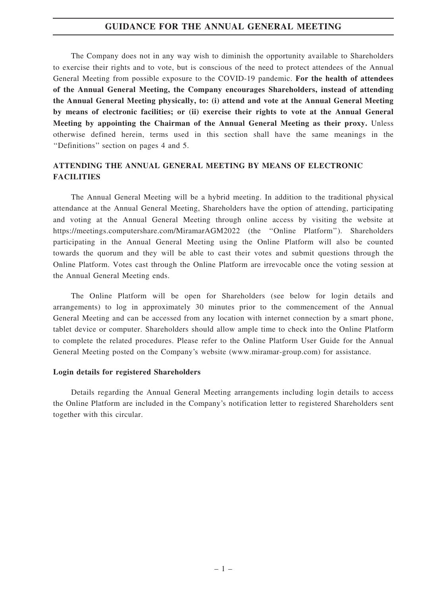### GUIDANCE FOR THE ANNUAL GENERAL MEETING

The Company does not in any way wish to diminish the opportunity available to Shareholders to exercise their rights and to vote, but is conscious of the need to protect attendees of the Annual General Meeting from possible exposure to the COVID-19 pandemic. For the health of attendees of the Annual General Meeting, the Company encourages Shareholders, instead of attending the Annual General Meeting physically, to: (i) attend and vote at the Annual General Meeting by means of electronic facilities; or (ii) exercise their rights to vote at the Annual General Meeting by appointing the Chairman of the Annual General Meeting as their proxy. Unless otherwise defined herein, terms used in this section shall have the same meanings in the ''Definitions'' section on pages 4 and 5.

# ATTENDING THE ANNUAL GENERAL MEETING BY MEANS OF ELECTRONIC **FACILITIES**

The Annual General Meeting will be a hybrid meeting. In addition to the traditional physical attendance at the Annual General Meeting, Shareholders have the option of attending, participating and voting at the Annual General Meeting through online access by visiting the website at https://meetings.computershare.com/MiramarAGM2022 (the ''Online Platform''). Shareholders participating in the Annual General Meeting using the Online Platform will also be counted towards the quorum and they will be able to cast their votes and submit questions through the Online Platform. Votes cast through the Online Platform are irrevocable once the voting session at the Annual General Meeting ends.

The Online Platform will be open for Shareholders (see below for login details and arrangements) to log in approximately 30 minutes prior to the commencement of the Annual General Meeting and can be accessed from any location with internet connection by a smart phone, tablet device or computer. Shareholders should allow ample time to check into the Online Platform to complete the related procedures. Please refer to the Online Platform User Guide for the Annual General Meeting posted on the Company's website (www.miramar-group.com) for assistance.

#### Login details for registered Shareholders

Details regarding the Annual General Meeting arrangements including login details to access the Online Platform are included in the Company's notification letter to registered Shareholders sent together with this circular.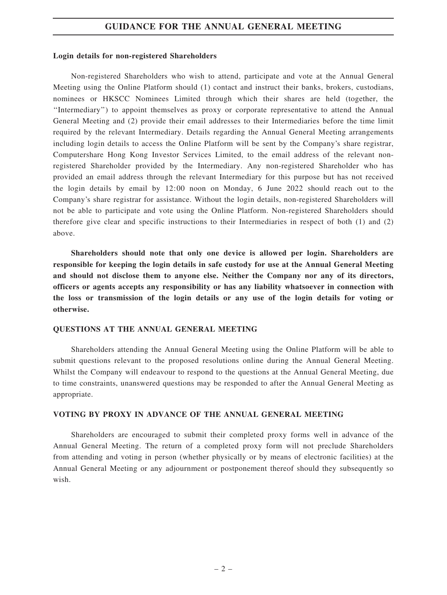### GUIDANCE FOR THE ANNUAL GENERAL MEETING

#### Login details for non-registered Shareholders

Non-registered Shareholders who wish to attend, participate and vote at the Annual General Meeting using the Online Platform should (1) contact and instruct their banks, brokers, custodians, nominees or HKSCC Nominees Limited through which their shares are held (together, the ''Intermediary'') to appoint themselves as proxy or corporate representative to attend the Annual General Meeting and (2) provide their email addresses to their Intermediaries before the time limit required by the relevant Intermediary. Details regarding the Annual General Meeting arrangements including login details to access the Online Platform will be sent by the Company's share registrar, Computershare Hong Kong Investor Services Limited, to the email address of the relevant nonregistered Shareholder provided by the Intermediary. Any non-registered Shareholder who has provided an email address through the relevant Intermediary for this purpose but has not received the login details by email by 12:00 noon on Monday, 6 June 2022 should reach out to the Company's share registrar for assistance. Without the login details, non-registered Shareholders will not be able to participate and vote using the Online Platform. Non-registered Shareholders should therefore give clear and specific instructions to their Intermediaries in respect of both (1) and (2) above.

Shareholders should note that only one device is allowed per login. Shareholders are responsible for keeping the login details in safe custody for use at the Annual General Meeting and should not disclose them to anyone else. Neither the Company nor any of its directors, officers or agents accepts any responsibility or has any liability whatsoever in connection with the loss or transmission of the login details or any use of the login details for voting or otherwise.

#### QUESTIONS AT THE ANNUAL GENERAL MEETING

Shareholders attending the Annual General Meeting using the Online Platform will be able to submit questions relevant to the proposed resolutions online during the Annual General Meeting. Whilst the Company will endeavour to respond to the questions at the Annual General Meeting, due to time constraints, unanswered questions may be responded to after the Annual General Meeting as appropriate.

#### VOTING BY PROXY IN ADVANCE OF THE ANNUAL GENERAL MEETING

Shareholders are encouraged to submit their completed proxy forms well in advance of the Annual General Meeting. The return of a completed proxy form will not preclude Shareholders from attending and voting in person (whether physically or by means of electronic facilities) at the Annual General Meeting or any adjournment or postponement thereof should they subsequently so wish.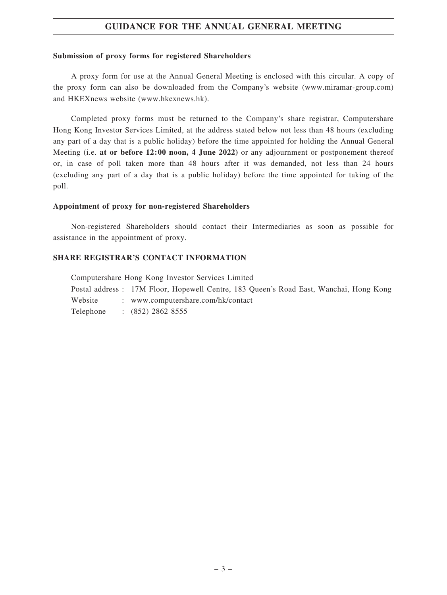# GUIDANCE FOR THE ANNUAL GENERAL MEETING

#### Submission of proxy forms for registered Shareholders

A proxy form for use at the Annual General Meeting is enclosed with this circular. A copy of the proxy form can also be downloaded from the Company's website (www.miramar-group.com) and HKEXnews website (www.hkexnews.hk).

Completed proxy forms must be returned to the Company's share registrar, Computershare Hong Kong Investor Services Limited, at the address stated below not less than 48 hours (excluding any part of a day that is a public holiday) before the time appointed for holding the Annual General Meeting (i.e. at or before 12:00 noon, 4 June 2022) or any adjournment or postponement thereof or, in case of poll taken more than 48 hours after it was demanded, not less than 24 hours (excluding any part of a day that is a public holiday) before the time appointed for taking of the poll.

#### Appointment of proxy for non-registered Shareholders

Non-registered Shareholders should contact their Intermediaries as soon as possible for assistance in the appointment of proxy.

### SHARE REGISTRAR'S CONTACT INFORMATION

Computershare Hong Kong Investor Services Limited Postal address : 17M Floor, Hopewell Centre, 183 Queen's Road East, Wanchai, Hong Kong Website : www.computershare.com/hk/contact Telephone : (852) 2862 8555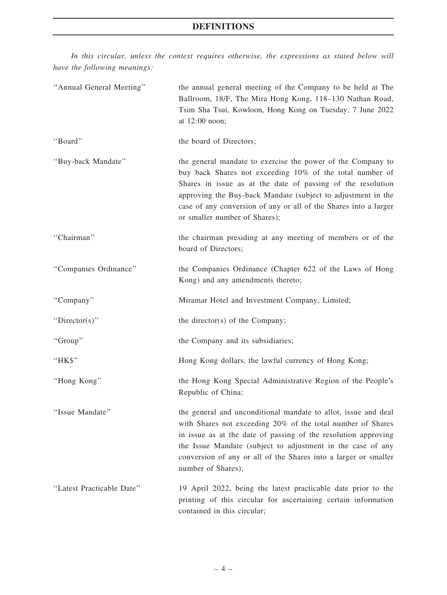In this circular, unless the context requires otherwise, the expressions as stated below will have the following meanings:

| "Annual General Meeting"  | the annual general meeting of the Company to be held at The<br>Ballroom, 18/F, The Mira Hong Kong, 118-130 Nathan Road,<br>Tsim Sha Tsui, Kowloon, Hong Kong on Tuesday, 7 June 2022<br>at 12:00 noon;                                                                                                                                                      |
|---------------------------|-------------------------------------------------------------------------------------------------------------------------------------------------------------------------------------------------------------------------------------------------------------------------------------------------------------------------------------------------------------|
| "Board"                   | the board of Directors;                                                                                                                                                                                                                                                                                                                                     |
| "Buy-back Mandate"        | the general mandate to exercise the power of the Company to<br>buy back Shares not exceeding 10% of the total number of<br>Shares in issue as at the date of passing of the resolution<br>approving the Buy-back Mandate (subject to adjustment in the<br>case of any conversion of any or all of the Shares into a larger<br>or smaller number of Shares); |
| "Chairman"                | the chairman presiding at any meeting of members or of the<br>board of Directors;                                                                                                                                                                                                                                                                           |
| "Companies Ordinance"     | the Companies Ordinance (Chapter 622 of the Laws of Hong<br>Kong) and any amendments thereto;                                                                                                                                                                                                                                                               |
| "Company"                 | Miramar Hotel and Investment Company, Limited;                                                                                                                                                                                                                                                                                                              |
| "Director(s)"             | the director(s) of the Company;                                                                                                                                                                                                                                                                                                                             |
| "Group"                   | the Company and its subsidiaries;                                                                                                                                                                                                                                                                                                                           |
| "HK\$"                    | Hong Kong dollars, the lawful currency of Hong Kong;                                                                                                                                                                                                                                                                                                        |
| "Hong Kong"               | the Hong Kong Special Administrative Region of the People's<br>Republic of China;                                                                                                                                                                                                                                                                           |
| "Issue Mandate"           | the general and unconditional mandate to allot, issue and deal<br>with Shares not exceeding 20% of the total number of Shares<br>in issue as at the date of passing of the resolution approving<br>the Issue Mandate (subject to adjustment in the case of any<br>conversion of any or all of the Shares into a larger or smaller<br>number of Shares);     |
| "Latest Practicable Date" | 19 April 2022, being the latest practicable date prior to the<br>printing of this circular for ascertaining certain information<br>contained in this circular;                                                                                                                                                                                              |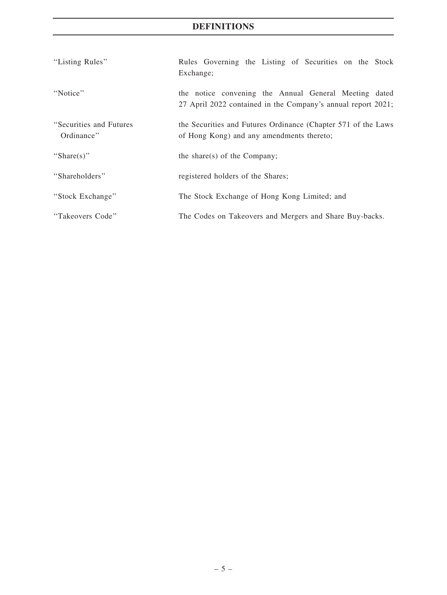# DEFINITIONS

| "Listing Rules"                        | Rules Governing the Listing of Securities on the Stock<br>Exchange;                                                   |
|----------------------------------------|-----------------------------------------------------------------------------------------------------------------------|
| "Notice"                               | the notice convening the Annual General Meeting dated<br>27 April 2022 contained in the Company's annual report 2021; |
| "Securities and Futures"<br>Ordinance" | the Securities and Futures Ordinance (Chapter 571 of the Laws<br>of Hong Kong) and any amendments thereto;            |
| "Share $(s)$ "                         | the share(s) of the Company;                                                                                          |
| "Shareholders"                         | registered holders of the Shares;                                                                                     |
| "Stock Exchange"                       | The Stock Exchange of Hong Kong Limited; and                                                                          |
| "Takeovers Code"                       | The Codes on Takeovers and Mergers and Share Buy-backs.                                                               |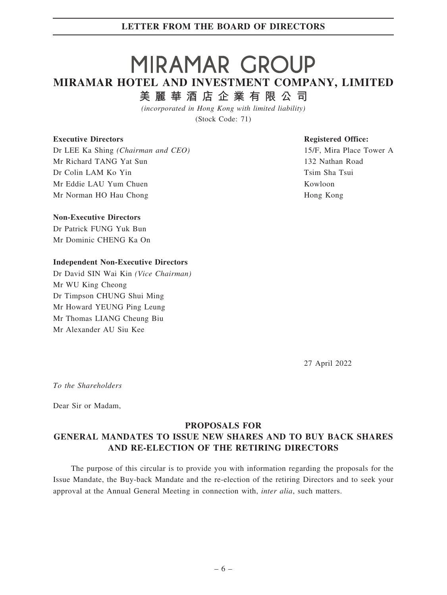# MIRAMAR GROUP MIRAMAR HOTEL AND INVESTMENT COMPANY, LIMITED 美 麗 華 酒 店 企 業 有 限 公 司

(incorporated in Hong Kong with limited liability)

(Stock Code: 71)

#### Executive Directors

Dr LEE Ka Shing (Chairman and CEO) Mr Richard TANG Yat Sun Dr Colin LAM Ko Yin Mr Eddie LAU Yum Chuen Mr Norman HO Hau Chong

#### Non-Executive Directors

Dr Patrick FUNG Yuk Bun Mr Dominic CHENG Ka On

#### Independent Non-Executive Directors

Dr David SIN Wai Kin (Vice Chairman) Mr WU King Cheong Dr Timpson CHUNG Shui Ming Mr Howard YEUNG Ping Leung Mr Thomas LIANG Cheung Biu Mr Alexander AU Siu Kee

#### Registered Office:

15/F, Mira Place Tower A 132 Nathan Road Tsim Sha Tsui Kowloon Hong Kong

27 April 2022

To the Shareholders

Dear Sir or Madam,

### PROPOSALS FOR

# GENERAL MANDATES TO ISSUE NEW SHARES AND TO BUY BACK SHARES AND RE-ELECTION OF THE RETIRING DIRECTORS

The purpose of this circular is to provide you with information regarding the proposals for the Issue Mandate, the Buy-back Mandate and the re-election of the retiring Directors and to seek your approval at the Annual General Meeting in connection with, inter alia, such matters.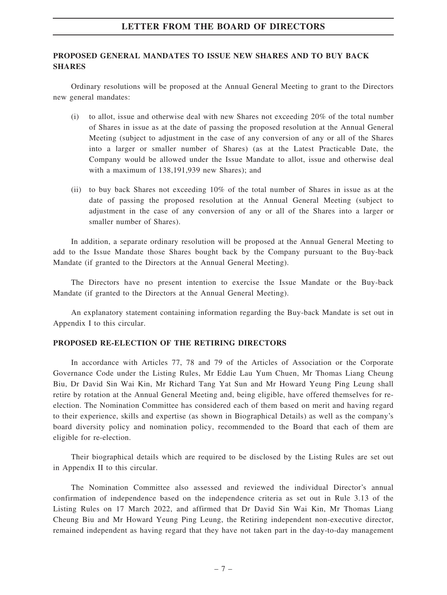### PROPOSED GENERAL MANDATES TO ISSUE NEW SHARES AND TO BUY BACK **SHARES**

Ordinary resolutions will be proposed at the Annual General Meeting to grant to the Directors new general mandates:

- (i) to allot, issue and otherwise deal with new Shares not exceeding 20% of the total number of Shares in issue as at the date of passing the proposed resolution at the Annual General Meeting (subject to adjustment in the case of any conversion of any or all of the Shares into a larger or smaller number of Shares) (as at the Latest Practicable Date, the Company would be allowed under the Issue Mandate to allot, issue and otherwise deal with a maximum of 138,191,939 new Shares); and
- (ii) to buy back Shares not exceeding 10% of the total number of Shares in issue as at the date of passing the proposed resolution at the Annual General Meeting (subject to adjustment in the case of any conversion of any or all of the Shares into a larger or smaller number of Shares).

In addition, a separate ordinary resolution will be proposed at the Annual General Meeting to add to the Issue Mandate those Shares bought back by the Company pursuant to the Buy-back Mandate (if granted to the Directors at the Annual General Meeting).

The Directors have no present intention to exercise the Issue Mandate or the Buy-back Mandate (if granted to the Directors at the Annual General Meeting).

An explanatory statement containing information regarding the Buy-back Mandate is set out in Appendix I to this circular.

#### PROPOSED RE-ELECTION OF THE RETIRING DIRECTORS

In accordance with Articles 77, 78 and 79 of the Articles of Association or the Corporate Governance Code under the Listing Rules, Mr Eddie Lau Yum Chuen, Mr Thomas Liang Cheung Biu, Dr David Sin Wai Kin, Mr Richard Tang Yat Sun and Mr Howard Yeung Ping Leung shall retire by rotation at the Annual General Meeting and, being eligible, have offered themselves for reelection. The Nomination Committee has considered each of them based on merit and having regard to their experience, skills and expertise (as shown in Biographical Details) as well as the company's board diversity policy and nomination policy, recommended to the Board that each of them are eligible for re-election.

Their biographical details which are required to be disclosed by the Listing Rules are set out in Appendix II to this circular.

The Nomination Committee also assessed and reviewed the individual Director's annual confirmation of independence based on the independence criteria as set out in Rule 3.13 of the Listing Rules on 17 March 2022, and affirmed that Dr David Sin Wai Kin, Mr Thomas Liang Cheung Biu and Mr Howard Yeung Ping Leung, the Retiring independent non-executive director, remained independent as having regard that they have not taken part in the day-to-day management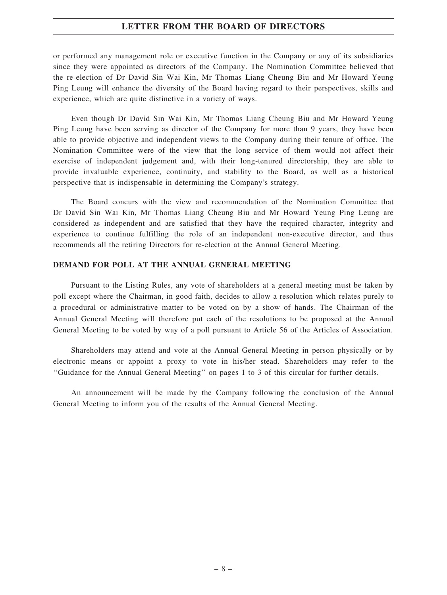or performed any management role or executive function in the Company or any of its subsidiaries since they were appointed as directors of the Company. The Nomination Committee believed that the re-election of Dr David Sin Wai Kin, Mr Thomas Liang Cheung Biu and Mr Howard Yeung Ping Leung will enhance the diversity of the Board having regard to their perspectives, skills and experience, which are quite distinctive in a variety of ways.

Even though Dr David Sin Wai Kin, Mr Thomas Liang Cheung Biu and Mr Howard Yeung Ping Leung have been serving as director of the Company for more than 9 years, they have been able to provide objective and independent views to the Company during their tenure of office. The Nomination Committee were of the view that the long service of them would not affect their exercise of independent judgement and, with their long-tenured directorship, they are able to provide invaluable experience, continuity, and stability to the Board, as well as a historical perspective that is indispensable in determining the Company's strategy.

The Board concurs with the view and recommendation of the Nomination Committee that Dr David Sin Wai Kin, Mr Thomas Liang Cheung Biu and Mr Howard Yeung Ping Leung are considered as independent and are satisfied that they have the required character, integrity and experience to continue fulfilling the role of an independent non-executive director, and thus recommends all the retiring Directors for re-election at the Annual General Meeting.

#### DEMAND FOR POLL AT THE ANNUAL GENERAL MEETING

Pursuant to the Listing Rules, any vote of shareholders at a general meeting must be taken by poll except where the Chairman, in good faith, decides to allow a resolution which relates purely to a procedural or administrative matter to be voted on by a show of hands. The Chairman of the Annual General Meeting will therefore put each of the resolutions to be proposed at the Annual General Meeting to be voted by way of a poll pursuant to Article 56 of the Articles of Association.

Shareholders may attend and vote at the Annual General Meeting in person physically or by electronic means or appoint a proxy to vote in his/her stead. Shareholders may refer to the ''Guidance for the Annual General Meeting'' on pages 1 to 3 of this circular for further details.

An announcement will be made by the Company following the conclusion of the Annual General Meeting to inform you of the results of the Annual General Meeting.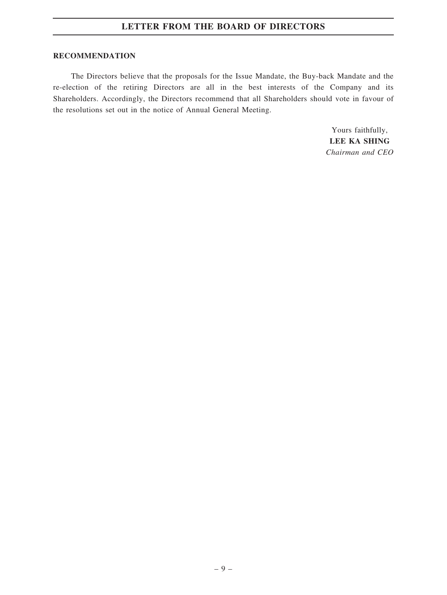#### RECOMMENDATION

The Directors believe that the proposals for the Issue Mandate, the Buy-back Mandate and the re-election of the retiring Directors are all in the best interests of the Company and its Shareholders. Accordingly, the Directors recommend that all Shareholders should vote in favour of the resolutions set out in the notice of Annual General Meeting.

> Yours faithfully, LEE KA SHING Chairman and CEO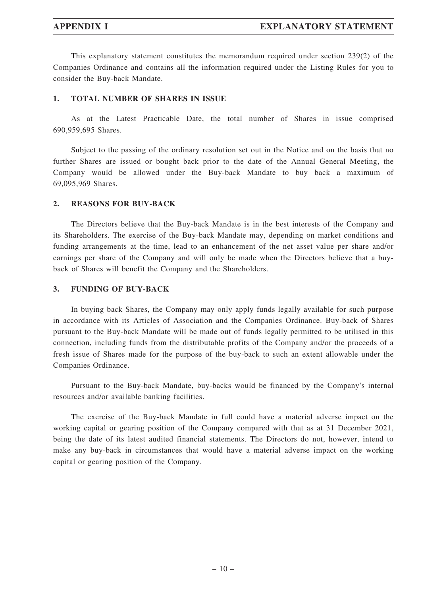This explanatory statement constitutes the memorandum required under section 239(2) of the Companies Ordinance and contains all the information required under the Listing Rules for you to consider the Buy-back Mandate.

### 1. TOTAL NUMBER OF SHARES IN ISSUE

As at the Latest Practicable Date, the total number of Shares in issue comprised 690,959,695 Shares.

Subject to the passing of the ordinary resolution set out in the Notice and on the basis that no further Shares are issued or bought back prior to the date of the Annual General Meeting, the Company would be allowed under the Buy-back Mandate to buy back a maximum of 69,095,969 Shares.

#### 2. REASONS FOR BUY-BACK

The Directors believe that the Buy-back Mandate is in the best interests of the Company and its Shareholders. The exercise of the Buy-back Mandate may, depending on market conditions and funding arrangements at the time, lead to an enhancement of the net asset value per share and/or earnings per share of the Company and will only be made when the Directors believe that a buyback of Shares will benefit the Company and the Shareholders.

#### 3. FUNDING OF BUY-BACK

In buying back Shares, the Company may only apply funds legally available for such purpose in accordance with its Articles of Association and the Companies Ordinance. Buy-back of Shares pursuant to the Buy-back Mandate will be made out of funds legally permitted to be utilised in this connection, including funds from the distributable profits of the Company and/or the proceeds of a fresh issue of Shares made for the purpose of the buy-back to such an extent allowable under the Companies Ordinance.

Pursuant to the Buy-back Mandate, buy-backs would be financed by the Company's internal resources and/or available banking facilities.

The exercise of the Buy-back Mandate in full could have a material adverse impact on the working capital or gearing position of the Company compared with that as at 31 December 2021, being the date of its latest audited financial statements. The Directors do not, however, intend to make any buy-back in circumstances that would have a material adverse impact on the working capital or gearing position of the Company.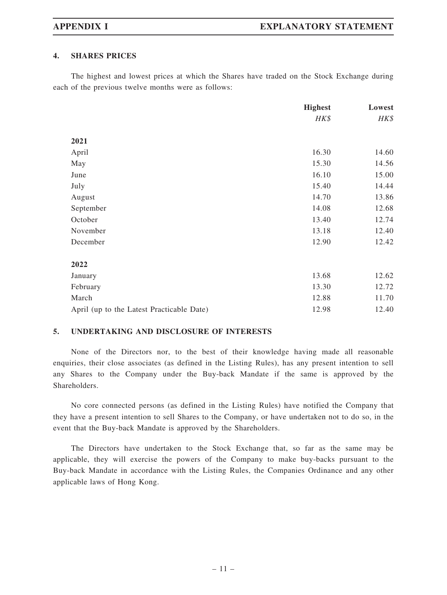#### 4. SHARES PRICES

The highest and lowest prices at which the Shares have traded on the Stock Exchange during each of the previous twelve months were as follows:

|                                           | <b>Highest</b> | Lowest |
|-------------------------------------------|----------------|--------|
|                                           | HK\$           | HK\$   |
| 2021                                      |                |        |
| April                                     | 16.30          | 14.60  |
| May                                       | 15.30          | 14.56  |
| June                                      | 16.10          | 15.00  |
| July                                      | 15.40          | 14.44  |
| August                                    | 14.70          | 13.86  |
| September                                 | 14.08          | 12.68  |
| October                                   | 13.40          | 12.74  |
| November                                  | 13.18          | 12.40  |
| December                                  | 12.90          | 12.42  |
| 2022                                      |                |        |
| January                                   | 13.68          | 12.62  |
| February                                  | 13.30          | 12.72  |
| March                                     | 12.88          | 11.70  |
| April (up to the Latest Practicable Date) | 12.98          | 12.40  |

#### 5. UNDERTAKING AND DISCLOSURE OF INTERESTS

None of the Directors nor, to the best of their knowledge having made all reasonable enquiries, their close associates (as defined in the Listing Rules), has any present intention to sell any Shares to the Company under the Buy-back Mandate if the same is approved by the Shareholders.

No core connected persons (as defined in the Listing Rules) have notified the Company that they have a present intention to sell Shares to the Company, or have undertaken not to do so, in the event that the Buy-back Mandate is approved by the Shareholders.

The Directors have undertaken to the Stock Exchange that, so far as the same may be applicable, they will exercise the powers of the Company to make buy-backs pursuant to the Buy-back Mandate in accordance with the Listing Rules, the Companies Ordinance and any other applicable laws of Hong Kong.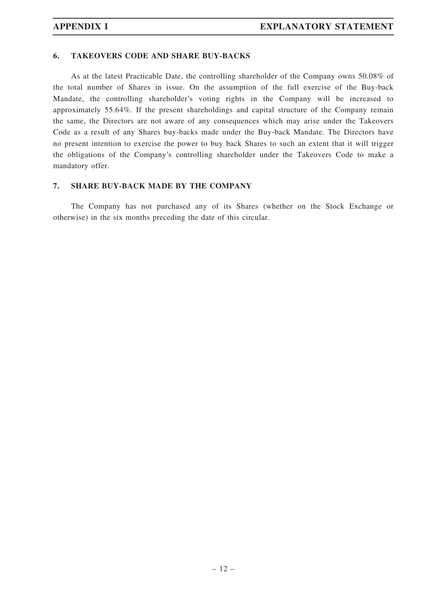#### 6. TAKEOVERS CODE AND SHARE BUY-BACKS

As at the latest Practicable Date, the controlling shareholder of the Company owns 50.08% of the total number of Shares in issue. On the assumption of the full exercise of the Buy-back Mandate, the controlling shareholder's voting rights in the Company will be increased to approximately 55.64%. If the present shareholdings and capital structure of the Company remain the same, the Directors are not aware of any consequences which may arise under the Takeovers Code as a result of any Shares buy-backs made under the Buy-back Mandate. The Directors have no present intention to exercise the power to buy back Shares to such an extent that it will trigger the obligations of the Company's controlling shareholder under the Takeovers Code to make a mandatory offer.

#### 7. SHARE BUY-BACK MADE BY THE COMPANY

The Company has not purchased any of its Shares (whether on the Stock Exchange or otherwise) in the six months preceding the date of this circular.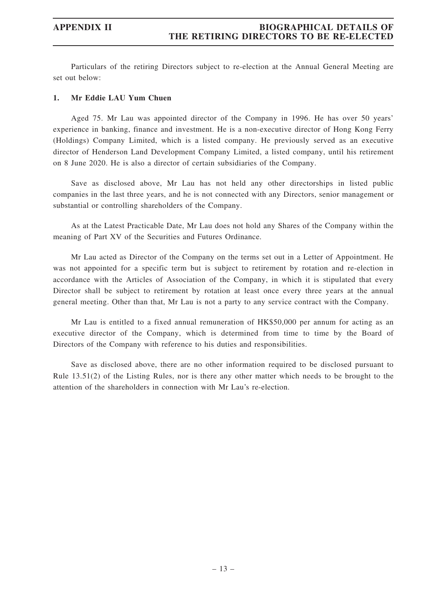### APPENDIX II BIOGRAPHICAL DETAILS OF THE RETIRING DIRECTORS TO BE RE-ELECTED

Particulars of the retiring Directors subject to re-election at the Annual General Meeting are set out below:

#### 1. Mr Eddie LAU Yum Chuen

Aged 75. Mr Lau was appointed director of the Company in 1996. He has over 50 years' experience in banking, finance and investment. He is a non-executive director of Hong Kong Ferry (Holdings) Company Limited, which is a listed company. He previously served as an executive director of Henderson Land Development Company Limited, a listed company, until his retirement on 8 June 2020. He is also a director of certain subsidiaries of the Company.

Save as disclosed above, Mr Lau has not held any other directorships in listed public companies in the last three years, and he is not connected with any Directors, senior management or substantial or controlling shareholders of the Company.

As at the Latest Practicable Date, Mr Lau does not hold any Shares of the Company within the meaning of Part XV of the Securities and Futures Ordinance.

Mr Lau acted as Director of the Company on the terms set out in a Letter of Appointment. He was not appointed for a specific term but is subject to retirement by rotation and re-election in accordance with the Articles of Association of the Company, in which it is stipulated that every Director shall be subject to retirement by rotation at least once every three years at the annual general meeting. Other than that, Mr Lau is not a party to any service contract with the Company.

Mr Lau is entitled to a fixed annual remuneration of HK\$50,000 per annum for acting as an executive director of the Company, which is determined from time to time by the Board of Directors of the Company with reference to his duties and responsibilities.

Save as disclosed above, there are no other information required to be disclosed pursuant to Rule 13.51(2) of the Listing Rules, nor is there any other matter which needs to be brought to the attention of the shareholders in connection with Mr Lau's re-election.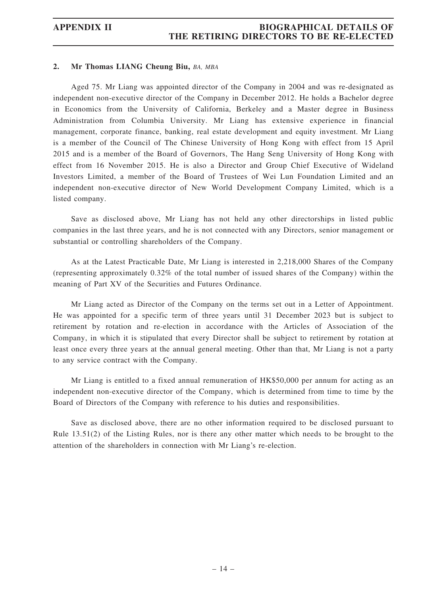### APPENDIX II BIOGRAPHICAL DETAILS OF THE RETIRING DIRECTORS TO BE RE-ELECTED

#### 2. Mr Thomas LIANG Cheung Biu, BA, MBA

Aged 75. Mr Liang was appointed director of the Company in 2004 and was re-designated as independent non-executive director of the Company in December 2012. He holds a Bachelor degree in Economics from the University of California, Berkeley and a Master degree in Business Administration from Columbia University. Mr Liang has extensive experience in financial management, corporate finance, banking, real estate development and equity investment. Mr Liang is a member of the Council of The Chinese University of Hong Kong with effect from 15 April 2015 and is a member of the Board of Governors, The Hang Seng University of Hong Kong with effect from 16 November 2015. He is also a Director and Group Chief Executive of Wideland Investors Limited, a member of the Board of Trustees of Wei Lun Foundation Limited and an independent non-executive director of New World Development Company Limited, which is a listed company.

Save as disclosed above, Mr Liang has not held any other directorships in listed public companies in the last three years, and he is not connected with any Directors, senior management or substantial or controlling shareholders of the Company.

As at the Latest Practicable Date, Mr Liang is interested in 2,218,000 Shares of the Company (representing approximately 0.32% of the total number of issued shares of the Company) within the meaning of Part XV of the Securities and Futures Ordinance.

Mr Liang acted as Director of the Company on the terms set out in a Letter of Appointment. He was appointed for a specific term of three years until 31 December 2023 but is subject to retirement by rotation and re-election in accordance with the Articles of Association of the Company, in which it is stipulated that every Director shall be subject to retirement by rotation at least once every three years at the annual general meeting. Other than that, Mr Liang is not a party to any service contract with the Company.

Mr Liang is entitled to a fixed annual remuneration of HK\$50,000 per annum for acting as an independent non-executive director of the Company, which is determined from time to time by the Board of Directors of the Company with reference to his duties and responsibilities.

Save as disclosed above, there are no other information required to be disclosed pursuant to Rule 13.51(2) of the Listing Rules, nor is there any other matter which needs to be brought to the attention of the shareholders in connection with Mr Liang's re-election.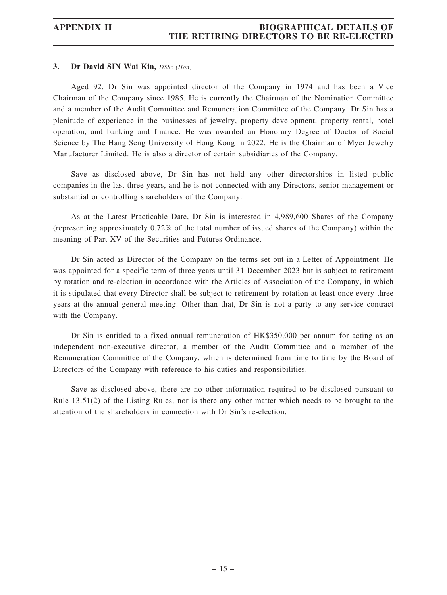#### 3. Dr David SIN Wai Kin, DSSc (Hon)

Aged 92. Dr Sin was appointed director of the Company in 1974 and has been a Vice Chairman of the Company since 1985. He is currently the Chairman of the Nomination Committee and a member of the Audit Committee and Remuneration Committee of the Company. Dr Sin has a plenitude of experience in the businesses of jewelry, property development, property rental, hotel operation, and banking and finance. He was awarded an Honorary Degree of Doctor of Social Science by The Hang Seng University of Hong Kong in 2022. He is the Chairman of Myer Jewelry Manufacturer Limited. He is also a director of certain subsidiaries of the Company.

Save as disclosed above, Dr Sin has not held any other directorships in listed public companies in the last three years, and he is not connected with any Directors, senior management or substantial or controlling shareholders of the Company.

As at the Latest Practicable Date, Dr Sin is interested in 4,989,600 Shares of the Company (representing approximately 0.72% of the total number of issued shares of the Company) within the meaning of Part XV of the Securities and Futures Ordinance.

Dr Sin acted as Director of the Company on the terms set out in a Letter of Appointment. He was appointed for a specific term of three years until 31 December 2023 but is subject to retirement by rotation and re-election in accordance with the Articles of Association of the Company, in which it is stipulated that every Director shall be subject to retirement by rotation at least once every three years at the annual general meeting. Other than that, Dr Sin is not a party to any service contract with the Company.

Dr Sin is entitled to a fixed annual remuneration of HK\$350,000 per annum for acting as an independent non-executive director, a member of the Audit Committee and a member of the Remuneration Committee of the Company, which is determined from time to time by the Board of Directors of the Company with reference to his duties and responsibilities.

Save as disclosed above, there are no other information required to be disclosed pursuant to Rule 13.51(2) of the Listing Rules, nor is there any other matter which needs to be brought to the attention of the shareholders in connection with Dr Sin's re-election.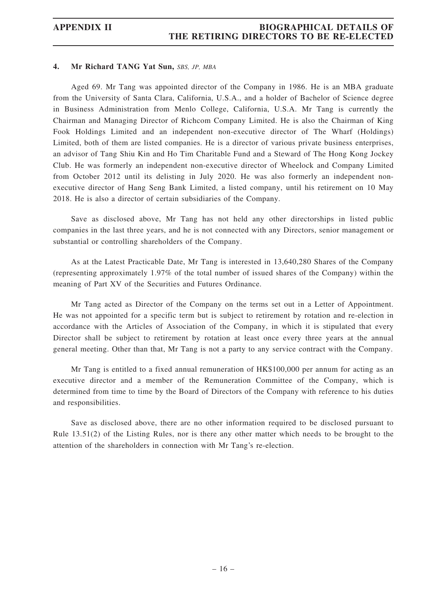### APPENDIX II BIOGRAPHICAL DETAILS OF THE RETIRING DIRECTORS TO BE RE-ELECTED

#### 4. Mr Richard TANG Yat Sun, SBS, JP, MBA

Aged 69. Mr Tang was appointed director of the Company in 1986. He is an MBA graduate from the University of Santa Clara, California, U.S.A., and a holder of Bachelor of Science degree in Business Administration from Menlo College, California, U.S.A. Mr Tang is currently the Chairman and Managing Director of Richcom Company Limited. He is also the Chairman of King Fook Holdings Limited and an independent non-executive director of The Wharf (Holdings) Limited, both of them are listed companies. He is a director of various private business enterprises, an advisor of Tang Shiu Kin and Ho Tim Charitable Fund and a Steward of The Hong Kong Jockey Club. He was formerly an independent non-executive director of Wheelock and Company Limited from October 2012 until its delisting in July 2020. He was also formerly an independent nonexecutive director of Hang Seng Bank Limited, a listed company, until his retirement on 10 May 2018. He is also a director of certain subsidiaries of the Company.

Save as disclosed above, Mr Tang has not held any other directorships in listed public companies in the last three years, and he is not connected with any Directors, senior management or substantial or controlling shareholders of the Company.

As at the Latest Practicable Date, Mr Tang is interested in 13,640,280 Shares of the Company (representing approximately 1.97% of the total number of issued shares of the Company) within the meaning of Part XV of the Securities and Futures Ordinance.

Mr Tang acted as Director of the Company on the terms set out in a Letter of Appointment. He was not appointed for a specific term but is subject to retirement by rotation and re-election in accordance with the Articles of Association of the Company, in which it is stipulated that every Director shall be subject to retirement by rotation at least once every three years at the annual general meeting. Other than that, Mr Tang is not a party to any service contract with the Company.

Mr Tang is entitled to a fixed annual remuneration of HK\$100,000 per annum for acting as an executive director and a member of the Remuneration Committee of the Company, which is determined from time to time by the Board of Directors of the Company with reference to his duties and responsibilities.

Save as disclosed above, there are no other information required to be disclosed pursuant to Rule 13.51(2) of the Listing Rules, nor is there any other matter which needs to be brought to the attention of the shareholders in connection with Mr Tang's re-election.